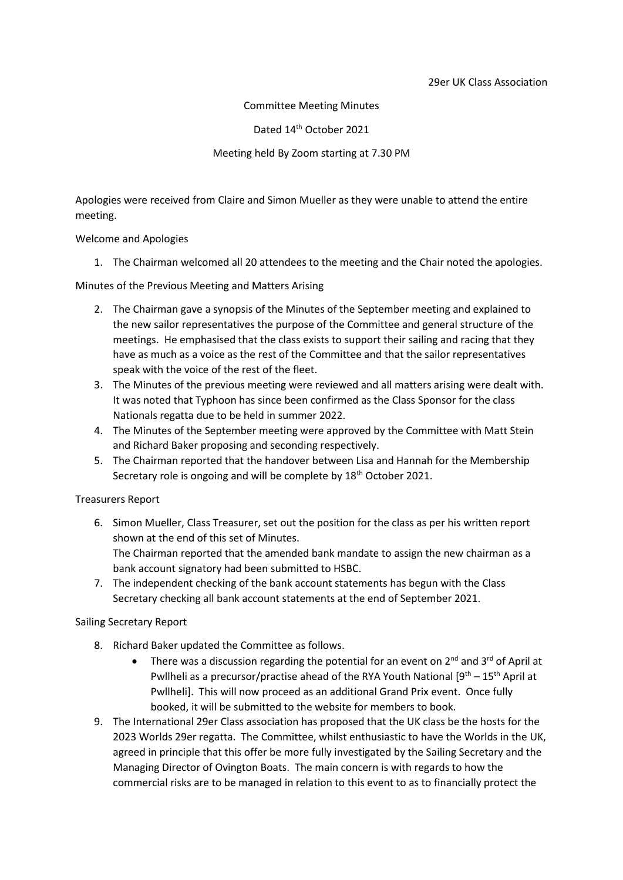Committee Meeting Minutes

Dated 14<sup>th</sup> October 2021

Meeting held By Zoom starting at 7.30 PM

Apologies were received from Claire and Simon Mueller as they were unable to attend the entire meeting.

Welcome and Apologies

1. The Chairman welcomed all 20 attendees to the meeting and the Chair noted the apologies.

Minutes of the Previous Meeting and Matters Arising

- 2. The Chairman gave a synopsis of the Minutes of the September meeting and explained to the new sailor representatives the purpose of the Committee and general structure of the meetings. He emphasised that the class exists to support their sailing and racing that they have as much as a voice as the rest of the Committee and that the sailor representatives speak with the voice of the rest of the fleet.
- 3. The Minutes of the previous meeting were reviewed and all matters arising were dealt with. It was noted that Typhoon has since been confirmed as the Class Sponsor for the class Nationals regatta due to be held in summer 2022.
- 4. The Minutes of the September meeting were approved by the Committee with Matt Stein and Richard Baker proposing and seconding respectively.
- 5. The Chairman reported that the handover between Lisa and Hannah for the Membership Secretary role is ongoing and will be complete by 18<sup>th</sup> October 2021.

# Treasurers Report

- 6. Simon Mueller, Class Treasurer, set out the position for the class as per his written report shown at the end of this set of Minutes. The Chairman reported that the amended bank mandate to assign the new chairman as a bank account signatory had been submitted to HSBC.
- 7. The independent checking of the bank account statements has begun with the Class Secretary checking all bank account statements at the end of September 2021.

# Sailing Secretary Report

- 8. Richard Baker updated the Committee as follows.
	- There was a discussion regarding the potential for an event on  $2^{nd}$  and  $3^{rd}$  of April at Pwllheli as a precursor/practise ahead of the RYA Youth National  $[9^{th} - 15^{th}$  April at Pwllheli]. This will now proceed as an additional Grand Prix event. Once fully booked, it will be submitted to the website for members to book.
- 9. The International 29er Class association has proposed that the UK class be the hosts for the 2023 Worlds 29er regatta. The Committee, whilst enthusiastic to have the Worlds in the UK, agreed in principle that this offer be more fully investigated by the Sailing Secretary and the Managing Director of Ovington Boats. The main concern is with regards to how the commercial risks are to be managed in relation to this event to as to financially protect the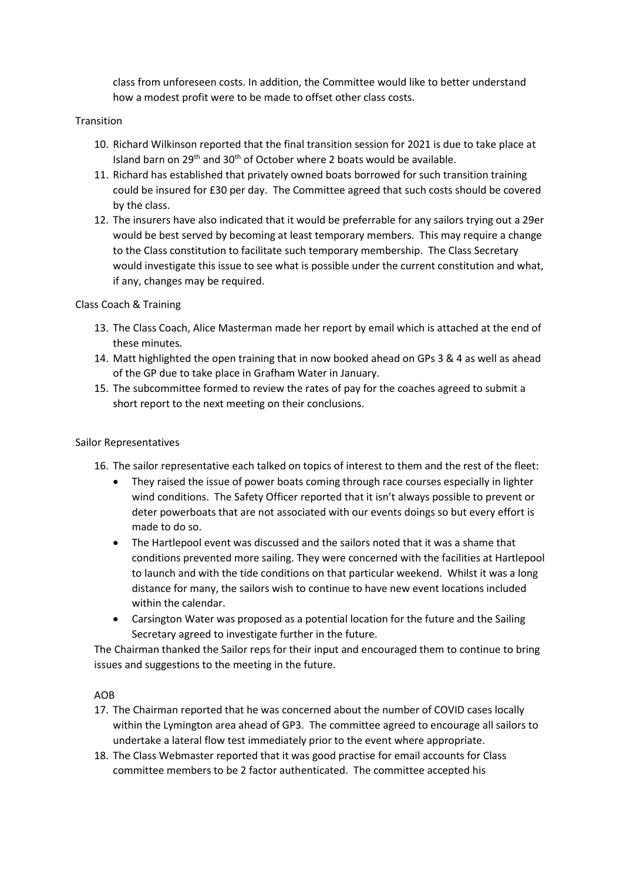class from unforeseen costs. In addition, the Committee would like to better understand how a modest profit were to be made to offset other class costs.

# Transition

- 10. Richard Wilkinson reported that the final transition session for 2021 is due to take place at Island barn on 29<sup>th</sup> and 30<sup>th</sup> of October where 2 boats would be available.
- 11. Richard has established that privately owned boats borrowed for such transition training could be insured for £30 per day. The Committee agreed that such costs should be covered by the class.
- 12. The insurers have also indicated that it would be preferrable for any sailors trying out a 29er would be best served by becoming at least temporary members. This may require a change to the Class constitution to facilitate such temporary membership. The Class Secretary would investigate this issue to see what is possible under the current constitution and what, if any, changes may be required.

# Class Coach & Training

- 13. The Class Coach, Alice Masterman made her report by email which is attached at the end of these minutes.
- 14. Matt highlighted the open training that in now booked ahead on GPs 3 & 4 as well as ahead of the GP due to take place in Grafham Water in January.
- 15. The subcommittee formed to review the rates of pay for the coaches agreed to submit a short report to the next meeting on their conclusions.

# Sailor Representatives

- 16. The sailor representative each talked on topics of interest to them and the rest of the fleet:
	- They raised the issue of power boats coming through race courses especially in lighter wind conditions. The Safety Officer reported that it isn't always possible to prevent or deter powerboats that are not associated with our events doings so but every effort is made to do so.
	- The Hartlepool event was discussed and the sailors noted that it was a shame that conditions prevented more sailing. They were concerned with the facilities at Hartlepool to launch and with the tide conditions on that particular weekend. Whilst it was a long distance for many, the sailors wish to continue to have new event locations included within the calendar.
	- Carsington Water was proposed as a potential location for the future and the Sailing Secretary agreed to investigate further in the future.

The Chairman thanked the Sailor reps for their input and encouraged them to continue to bring issues and suggestions to the meeting in the future.

# AOB

- 17. The Chairman reported that he was concerned about the number of COVID cases locally within the Lymington area ahead of GP3. The committee agreed to encourage all sailors to undertake a lateral flow test immediately prior to the event where appropriate.
- 18. The Class Webmaster reported that it was good practise for email accounts for Class committee members to be 2 factor authenticated. The committee accepted his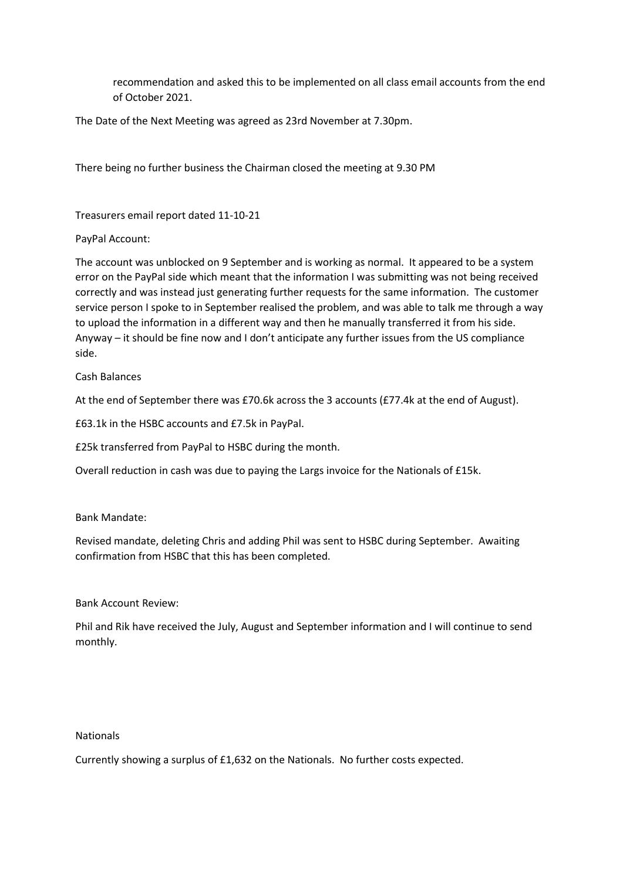recommendation and asked this to be implemented on all class email accounts from the end of October 2021.

The Date of the Next Meeting was agreed as 23rd November at 7.30pm.

There being no further business the Chairman closed the meeting at 9.30 PM

Treasurers email report dated 11-10-21

PayPal Account:

The account was unblocked on 9 September and is working as normal. It appeared to be a system error on the PayPal side which meant that the information I was submitting was not being received correctly and was instead just generating further requests for the same information. The customer service person I spoke to in September realised the problem, and was able to talk me through a way to upload the information in a different way and then he manually transferred it from his side. Anyway – it should be fine now and I don't anticipate any further issues from the US compliance side.

Cash Balances

At the end of September there was £70.6k across the 3 accounts (£77.4k at the end of August).

£63.1k in the HSBC accounts and £7.5k in PayPal.

£25k transferred from PayPal to HSBC during the month.

Overall reduction in cash was due to paying the Largs invoice for the Nationals of £15k.

Bank Mandate:

Revised mandate, deleting Chris and adding Phil was sent to HSBC during September. Awaiting confirmation from HSBC that this has been completed.

Bank Account Review:

Phil and Rik have received the July, August and September information and I will continue to send monthly.

# Nationals

Currently showing a surplus of £1,632 on the Nationals. No further costs expected.